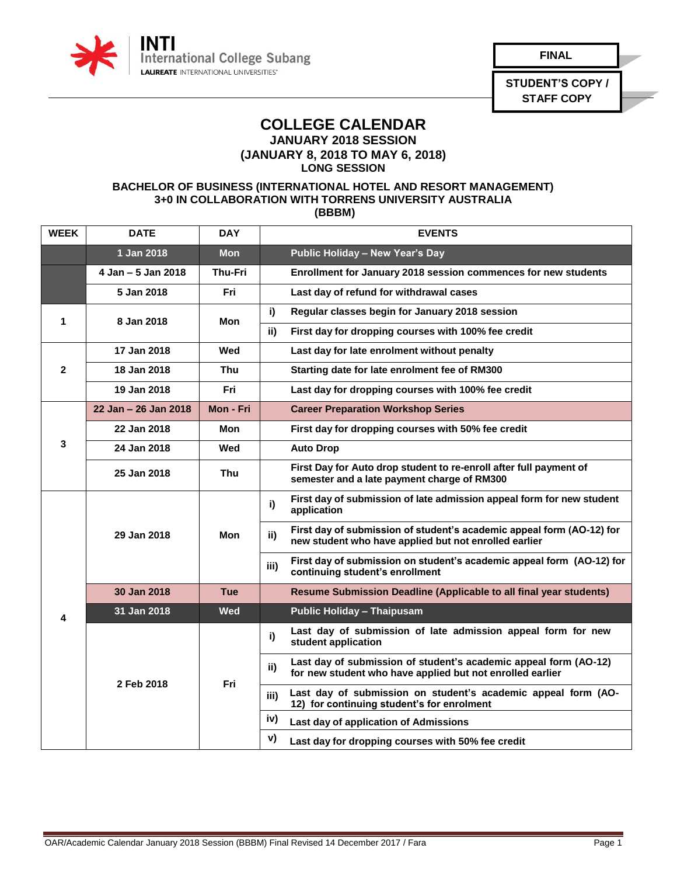

**FINAL**

**STUDENT'S COPY / STAFF COPY**

## **COLLEGE CALENDAR JANUARY 2018 SESSION**

**(JANUARY 8, 2018 TO MAY 6, 2018)**

**LONG SESSION**

## **BACHELOR OF BUSINESS (INTERNATIONAL HOTEL AND RESORT MANAGEMENT) 3+0 IN COLLABORATION WITH TORRENS UNIVERSITY AUSTRALIA (BBBM)**

| <b>WEEK</b>             | <b>DATE</b>          | <b>DAY</b>     |      | <b>EVENTS</b>                                                                                                                  |
|-------------------------|----------------------|----------------|------|--------------------------------------------------------------------------------------------------------------------------------|
|                         | 1 Jan 2018           | <b>Mon</b>     |      | Public Holiday - New Year's Day                                                                                                |
|                         | 4 Jan - 5 Jan 2018   | <b>Thu-Fri</b> |      | Enrollment for January 2018 session commences for new students                                                                 |
|                         | 5 Jan 2018           | Fri            |      | Last day of refund for withdrawal cases                                                                                        |
| 1                       | 8 Jan 2018           | Mon            | i)   | Regular classes begin for January 2018 session                                                                                 |
|                         |                      |                | ii)  | First day for dropping courses with 100% fee credit                                                                            |
| $\overline{\mathbf{2}}$ | 17 Jan 2018          | Wed            |      | Last day for late enrolment without penalty                                                                                    |
|                         | 18 Jan 2018          | <b>Thu</b>     |      | Starting date for late enrolment fee of RM300                                                                                  |
|                         | 19 Jan 2018          | Fri            |      | Last day for dropping courses with 100% fee credit                                                                             |
|                         | 22 Jan - 26 Jan 2018 | Mon - Fri      |      | <b>Career Preparation Workshop Series</b>                                                                                      |
|                         | 22 Jan 2018          | Mon            |      | First day for dropping courses with 50% fee credit                                                                             |
| 3                       | 24 Jan 2018          | Wed            |      | <b>Auto Drop</b>                                                                                                               |
|                         | 25 Jan 2018          | Thu            |      | First Day for Auto drop student to re-enroll after full payment of<br>semester and a late payment charge of RM300              |
|                         | 29 Jan 2018          | Mon            | i)   | First day of submission of late admission appeal form for new student<br>application                                           |
|                         |                      |                | ii)  | First day of submission of student's academic appeal form (AO-12) for<br>new student who have applied but not enrolled earlier |
|                         |                      |                | iii) | First day of submission on student's academic appeal form (AO-12) for<br>continuing student's enrollment                       |
|                         | 30 Jan 2018          | Tue            |      | Resume Submission Deadline (Applicable to all final year students)                                                             |
| 4                       | 31 Jan 2018          | Wed            |      | <b>Public Holiday - Thaipusam</b>                                                                                              |
|                         | 2 Feb 2018           | Fri            | i)   | Last day of submission of late admission appeal form for new<br>student application                                            |
|                         |                      |                | ii)  | Last day of submission of student's academic appeal form (AO-12)<br>for new student who have applied but not enrolled earlier  |
|                         |                      |                | iii) | Last day of submission on student's academic appeal form (AO-<br>12) for continuing student's for enrolment                    |
|                         |                      |                | iv)  | Last day of application of Admissions                                                                                          |
|                         |                      |                | V)   | Last day for dropping courses with 50% fee credit                                                                              |